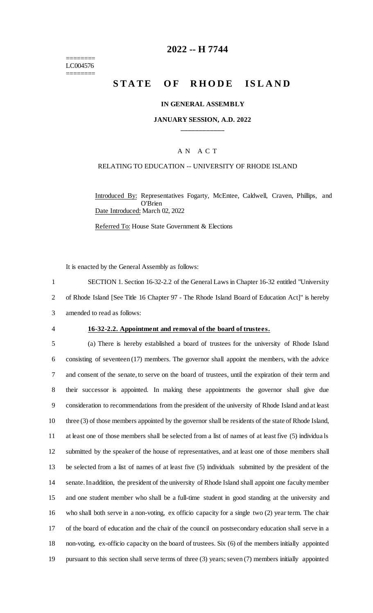======== LC004576 ========

# **2022 -- H 7744**

# **STATE OF RHODE ISLAND**

### **IN GENERAL ASSEMBLY**

### **JANUARY SESSION, A.D. 2022 \_\_\_\_\_\_\_\_\_\_\_\_**

# A N A C T

### RELATING TO EDUCATION -- UNIVERSITY OF RHODE ISLAND

Introduced By: Representatives Fogarty, McEntee, Caldwell, Craven, Phillips, and O'Brien Date Introduced: March 02, 2022

Referred To: House State Government & Elections

It is enacted by the General Assembly as follows:

1 SECTION 1. Section 16-32-2.2 of the General Laws in Chapter 16-32 entitled "University 2 of Rhode Island [See Title 16 Chapter 97 - The Rhode Island Board of Education Act]" is hereby 3 amended to read as follows:

### 4 **16-32-2.2. Appointment and removal of the board of trustees.**

 (a) There is hereby established a board of trustees for the university of Rhode Island consisting of seventeen (17) members. The governor shall appoint the members, with the advice and consent of the senate, to serve on the board of trustees, until the expiration of their term and their successor is appointed. In making these appointments the governor shall give due consideration to recommendations from the president of the university of Rhode Island and at least three (3) of those members appointed by the governor shall be residents of the state of Rhode Island, at least one of those members shall be selected from a list of names of at least five (5) individua ls submitted by the speaker of the house of representatives, and at least one of those members shall be selected from a list of names of at least five (5) individuals submitted by the president of the senate. In addition, the president of the university of Rhode Island shall appoint one faculty member and one student member who shall be a full-time student in good standing at the university and who shall both serve in a non-voting, ex officio capacity for a single two (2) year term. The chair of the board of education and the chair of the council on postsecondary education shall serve in a non-voting, ex-officio capacity on the board of trustees. Six (6) of the members initially appointed pursuant to this section shall serve terms of three (3) years; seven (7) members initially appointed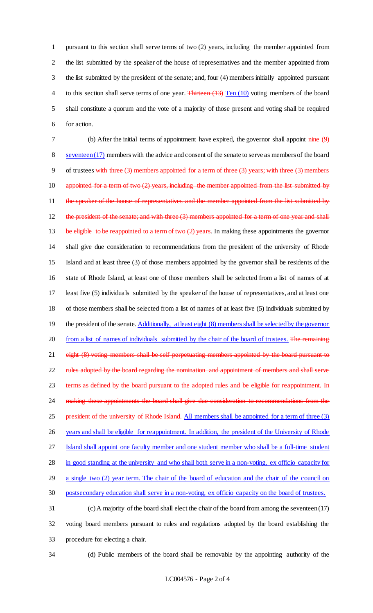pursuant to this section shall serve terms of two (2) years, including the member appointed from the list submitted by the speaker of the house of representatives and the member appointed from the list submitted by the president of the senate; and, four (4) members initially appointed pursuant 4 to this section shall serve terms of one year. Thirteen (13) Ten (10) voting members of the board shall constitute a quorum and the vote of a majority of those present and voting shall be required for action.

7 (b) After the initial terms of appointment have expired, the governor shall appoint nine (9) 8 seventeen (17) members with the advice and consent of the senate to serve as members of the board 9 of trustees with three (3) members appointed for a term of three (3) years; with three (3) members 10 appointed for a term of two (2) years, including the member appointed from the list submitted by 11 the speaker of the house of representatives and the member appointed from the list submitted by 12 the president of the senate; and with three (3) members appointed for a term of one year and shall 13 be eligible to be reappointed to a term of two (2) years. In making these appointments the governor 14 shall give due consideration to recommendations from the president of the university of Rhode 15 Island and at least three (3) of those members appointed by the governor shall be residents of the 16 state of Rhode Island, at least one of those members shall be selected from a list of names of at 17 least five (5) individuals submitted by the speaker of the house of representatives, and at least one 18 of those members shall be selected from a list of names of at least five (5) individuals submitted by 19 the president of the senate. Additionally, at least eight (8) members shall be selected by the governor 20 from a list of names of individuals submitted by the chair of the board of trustees. The remaining 21 eight (8) voting members shall be self-perpetuating members appointed by the board pursuant to 22 rules adopted by the board regarding the nomination and appointment of members and shall serve 23 terms as defined by the board pursuant to the adopted rules and be eligible for reappointment. In 24 making these appointments the board shall give due consideration to recommendations from the 25 president of the university of Rhode Island. All members shall be appointed for a term of three (3) 26 years and shall be eligible for reappointment. In addition, the president of the University of Rhode 27 Island shall appoint one faculty member and one student member who shall be a full-time student 28 in good standing at the university and who shall both serve in a non-voting, ex officio capacity for 29 a single two (2) year term. The chair of the board of education and the chair of the council on 30 postsecondary education shall serve in a non-voting, ex officio capacity on the board of trustees. 31 (c) A majority of the board shall elect the chair of the board from among the seventeen (17) 32 voting board members pursuant to rules and regulations adopted by the board establishing the

- 33 procedure for electing a chair.
- 

34 (d) Public members of the board shall be removable by the appointing authority of the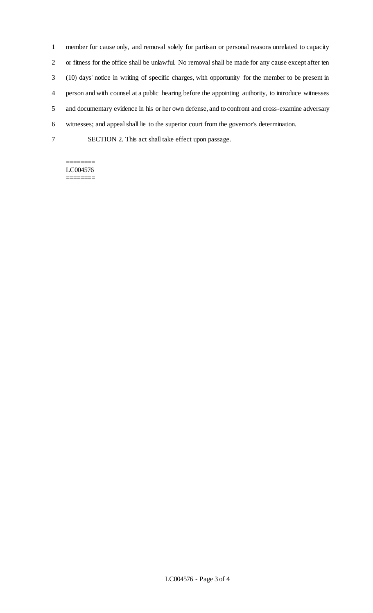member for cause only, and removal solely for partisan or personal reasons unrelated to capacity or fitness for the office shall be unlawful. No removal shall be made for any cause except after ten (10) days' notice in writing of specific charges, with opportunity for the member to be present in person and with counsel at a public hearing before the appointing authority, to introduce witnesses and documentary evidence in his or her own defense, and to confront and cross-examine adversary witnesses; and appeal shall lie to the superior court from the governor's determination. SECTION 2. This act shall take effect upon passage.

#### ======== LC004576 ========